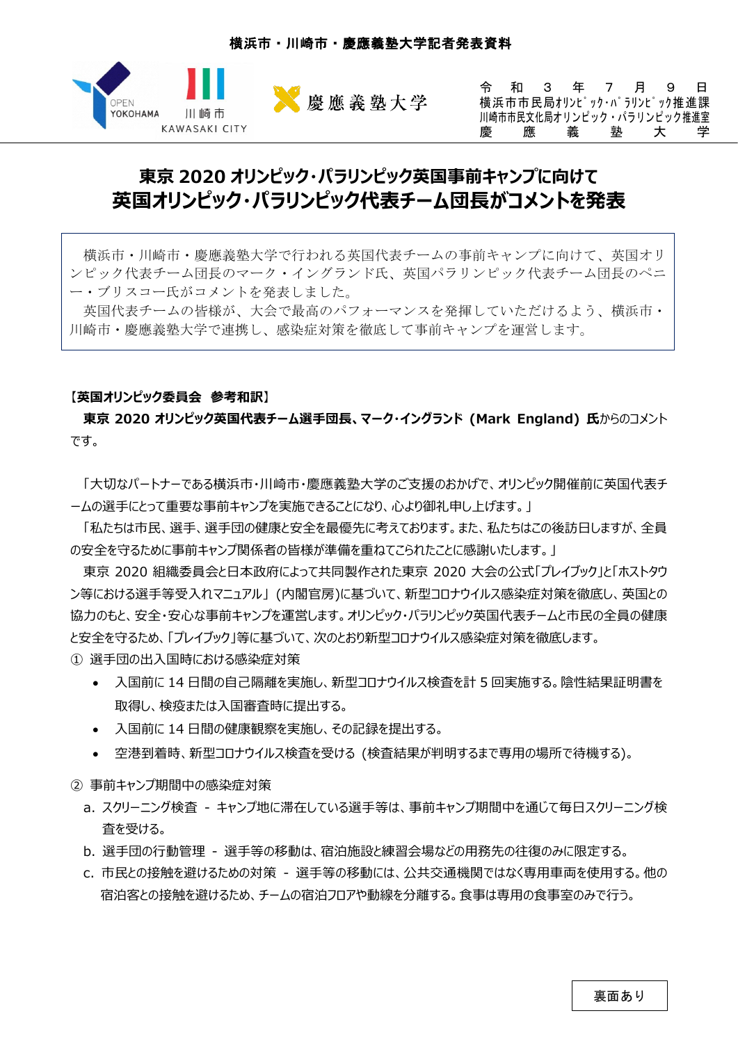

令和3 年 7 月 9 日 横浜市市民局オリンピック・パラリンピック推進課 川崎市市民文化局オリンピック・パラリンピック推進室 慶 應 義 塾 大 学

# **東京 2020 オリンピック・パラリンピック英国事前キャンプに向けて 英国オリンピック・パラリンピック代表チーム団長がコメントを発表**

横浜市・川崎市・慶應義塾大学で行われる英国代表チームの事前キャンプに向けて、英国オリ ンピック代表チーム団長のマーク・イングランド氏、英国パラリンピック代表チーム団長のペニ ー・ブリスコー氏がコメントを発表しました。

英国代表チームの皆様が、大会で最高のパフォーマンスを発揮していただけるよう、横浜市・ 川崎市・慶應義塾大学で連携し、感染症対策を徹底して事前キャンプを運営します。

## 【**英国オリンピック委員会 参考和訳**】

**東京 2020 オリンピック英国代表チーム選手団長、マーク・イングランド (Mark England) 氏**からのコメント です。

「大切なパートナーである横浜市・川崎市・慶應義塾大学のご支援のおかげで、オリンピック開催前に英国代表チ ームの選手にとって重要な事前キャンプを実施できることになり、心より御礼申し上げます。」

「私たちは市民、選手、選手団の健康と安全を最優先に考えております。また、私たちはこの後訪日しますが、全員 の安全を守るために事前キャンプ関係者の皆様が準備を重ねてこられたことに感謝いたします。」

東京 2020 組織委員会と日本政府によって共同製作された東京 2020 大会の公式「プレイブック」と「ホストタウ ン等における選手等受入れマニュアル」 (内閣官房)に基づいて、新型コロナウイルス感染症対策を徹底し、英国との 協力のもと、安全・安心な事前キャンプを運営します。オリンピック・パラリンピック英国代表チームと市民の全員の健康 と安全を守るため、「プレイブック」等に基づいて、次のとおり新型コロナウイルス感染症対策を徹底します。

① 選手団の出入国時における感染症対策

- 入国前に 14 日間の自己隔離を実施し、新型コロナウイルス検査を計 5 回実施する。陰性結果証明書を 取得し、検疫または入国審査時に提出する。
- 入国前に 14 日間の健康観察を実施し、その記録を提出する。
- 空港到着時、新型コロナウイルス検査を受ける (検査結果が判明するまで専用の場所で待機する)。
- ② 事前キャンプ期間中の感染症対策
	- a. スクリーニング検査 キャンプ地に滞在している選手等は、事前キャンプ期間中を通じて毎日スクリーニング検 査を受ける。
	- b. 選手団の行動管理 選手等の移動は、宿泊施設と練習会場などの用務先の往復のみに限定する。
	- c. 市民との接触を避けるための対策 選手等の移動には、公共交通機関ではなく専用車両を使用する。他の 宿泊客との接触を避けるため、チームの宿泊フロアや動線を分離する。食事は専用の食事室のみで行う。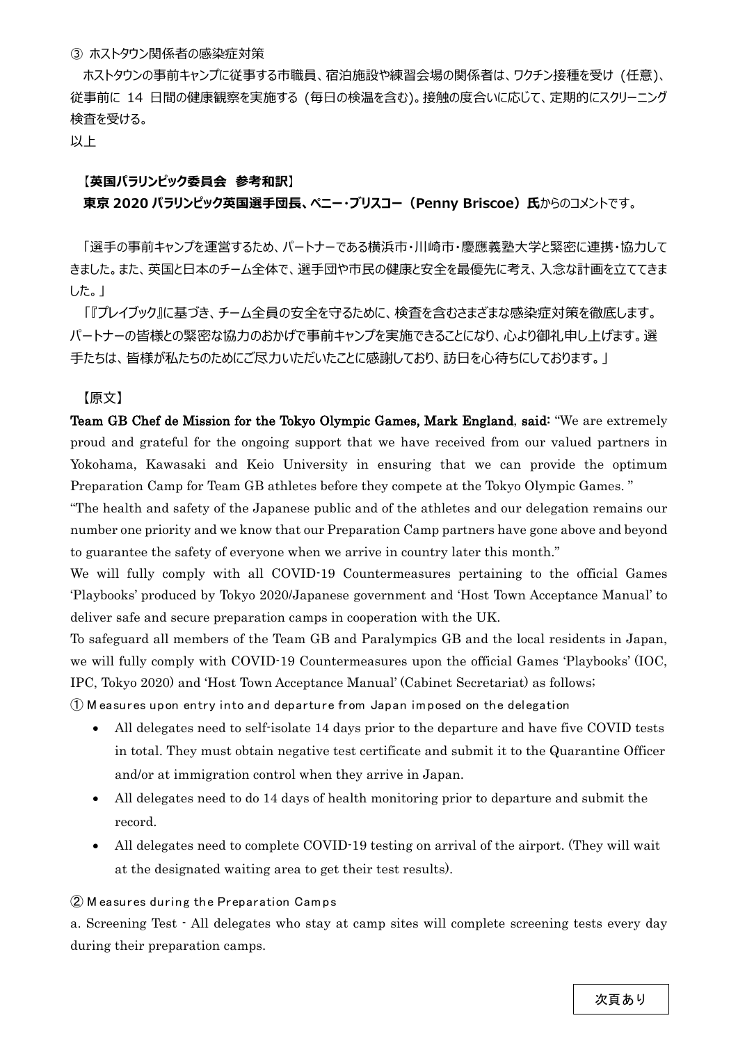#### ③ ホストタウン関係者の感染症対策

ホストタウンの事前キャンプに従事する市職員、宿泊施設や練習会場の関係者は、ワクチン接種を受け (任意)、 従事前に 14 日間の健康観察を実施する (毎日の検温を含む)。接触の度合いに応じて、定期的にスクリーニング 検査を受ける。

以上

## 【**英国パラリンピック委員会 参考和訳**】

# **東京 2020 パラリンピック英国選手団長、ペニー・ブリスコー(Penny Briscoe)氏**からのコメントです。

「選手の事前キャンプを運営するため、パートナーである横浜市・川崎市・慶應義塾大学と緊密に連携・協力して きました。また、英国と日本のチーム全体で、選手団や市民の健康と安全を最優先に考え、入念な計画を立ててきま した。」

「『プレイブック』に基づき、チーム全員の安全を守るために、検査を含むさまざまな感染症対策を徹底します。 パートナーの皆様との緊密な協力のおかげで事前キャンプを実施できることになり、心より御礼申し上げます。選 手たちは、皆様が私たちのためにご尽力いただいたことに感謝しており、訪日を心待ちにしております。」

【原文】

Team GB Chef de Mission for the Tokyo Olympic Games, Mark England, said: "We are extremely proud and grateful for the ongoing support that we have received from our valued partners in Yokohama, Kawasaki and Keio University in ensuring that we can provide the optimum Preparation Camp for Team GB athletes before they compete at the Tokyo Olympic Games. "

"The health and safety of the Japanese public and of the athletes and our delegation remains our number one priority and we know that our Preparation Camp partners have gone above and beyond to guarantee the safety of everyone when we arrive in country later this month."

We will fully comply with all COVID-19 Countermeasures pertaining to the official Games 'Playbooks' produced by Tokyo 2020/Japanese government and 'Host Town Acceptance Manual' to deliver safe and secure preparation camps in cooperation with the UK.

To safeguard all members of the Team GB and Paralympics GB and the local residents in Japan, we will fully comply with COVID-19 Countermeasures upon the official Games 'Playbooks' (IOC, IPC, Tokyo 2020) and 'Host Town Acceptance Manual' (Cabinet Secretariat) as follows;

① M easures upon entry into and departure from Japan im posed on the delegation

- All delegates need to self-isolate 14 days prior to the departure and have five COVID tests in total. They must obtain negative test certificate and submit it to the Quarantine Officer and/or at immigration control when they arrive in Japan.
- All delegates need to do 14 days of health monitoring prior to departure and submit the record.
- All delegates need to complete COVID-19 testing on arrival of the airport. (They will wait at the designated waiting area to get their test results).

#### ② M easures during the Preparation Cam ps

a. Screening Test - All delegates who stay at camp sites will complete screening tests every day during their preparation camps.